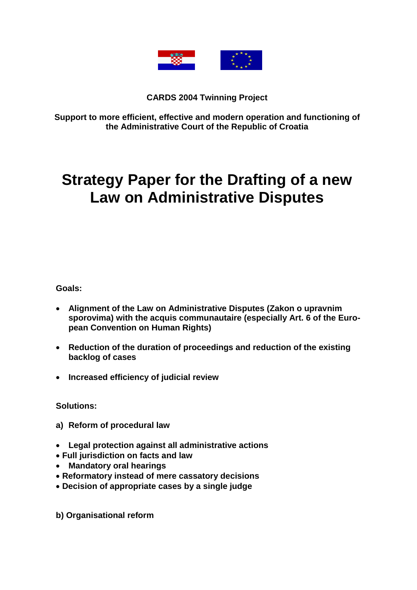

**CARDS 2004 Twinning Project**

**Support to more efficient, effective and modern operation and functioning of the Administrative Court of the Republic of Croatia** 

# **Strategy Paper for the Drafting of a new Law on Administrative Disputes**

**Goals:** 

- **Alignment of the Law on Administrative Disputes (Zakon o upravnim sporovima) with the acquis communautaire (especially Art. 6 of the European Convention on Human Rights)**
- **Reduction of the duration of proceedings and reduction of the existing backlog of cases**
- **Increased efficiency of judicial review**

**Solutions:**

- **a) Reform of procedural law**
- **Legal protection against all administrative actions**
- **Full jurisdiction on facts and law**
- **Mandatory oral hearings**
- **Reformatory instead of mere cassatory decisions**
- **Decision of appropriate cases by a single judge**

**b) Organisational reform**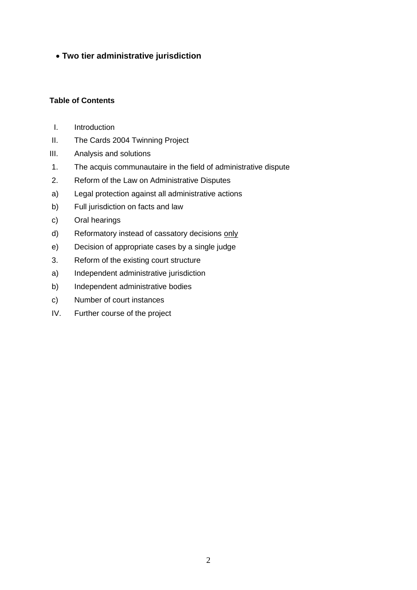## **Two tier administrative jurisdiction**

## **Table of Contents**

- I. Introduction
- II. The Cards 2004 Twinning Project
- III. Analysis and solutions
- 1. The acquis communautaire in the field of administrative dispute
- 2. Reform of the Law on Administrative Disputes
- a) Legal protection against all administrative actions
- b) Full jurisdiction on facts and law
- c) Oral hearings
- d) Reformatory instead of cassatory decisions only
- e) Decision of appropriate cases by a single judge
- 3. Reform of the existing court structure
- a) Independent administrative jurisdiction
- b) Independent administrative bodies
- c) Number of court instances
- IV. Further course of the project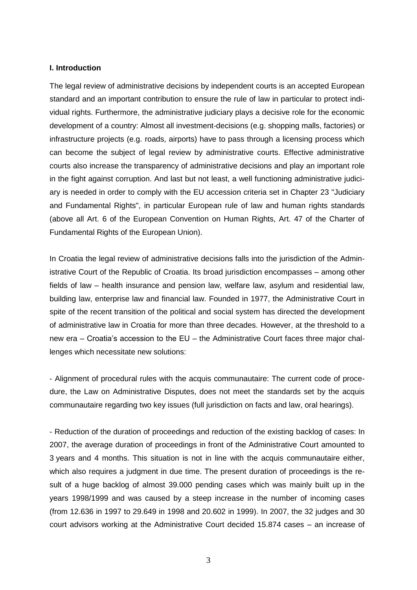#### **I. Introduction**

The legal review of administrative decisions by independent courts is an accepted European standard and an important contribution to ensure the rule of law in particular to protect individual rights. Furthermore, the administrative judiciary plays a decisive role for the economic development of a country: Almost all investment-decisions (e.g. shopping malls, factories) or infrastructure projects (e.g. roads, airports) have to pass through a licensing process which can become the subject of legal review by administrative courts. Effective administrative courts also increase the transparency of administrative decisions and play an important role in the fight against corruption. And last but not least, a well functioning administrative judiciary is needed in order to comply with the EU accession criteria set in Chapter 23 "Judiciary and Fundamental Rights", in particular European rule of law and human rights standards (above all Art. 6 of the European Convention on Human Rights, Art. 47 of the Charter of Fundamental Rights of the European Union).

In Croatia the legal review of administrative decisions falls into the jurisdiction of the Administrative Court of the Republic of Croatia. Its broad jurisdiction encompasses – among other fields of law – health insurance and pension law, welfare law, asylum and residential law, building law, enterprise law and financial law. Founded in 1977, the Administrative Court in spite of the recent transition of the political and social system has directed the development of administrative law in Croatia for more than three decades. However, at the threshold to a new era – Croatia's accession to the EU – the Administrative Court faces three major challenges which necessitate new solutions:

- Alignment of procedural rules with the acquis communautaire: The current code of procedure, the Law on Administrative Disputes, does not meet the standards set by the acquis communautaire regarding two key issues (full jurisdiction on facts and law, oral hearings).

- Reduction of the duration of proceedings and reduction of the existing backlog of cases: In 2007, the average duration of proceedings in front of the Administrative Court amounted to 3 years and 4 months. This situation is not in line with the acquis communautaire either, which also requires a judgment in due time. The present duration of proceedings is the result of a huge backlog of almost 39.000 pending cases which was mainly built up in the years 1998/1999 and was caused by a steep increase in the number of incoming cases (from 12.636 in 1997 to 29.649 in 1998 and 20.602 in 1999). In 2007, the 32 judges and 30 court advisors working at the Administrative Court decided 15.874 cases – an increase of

3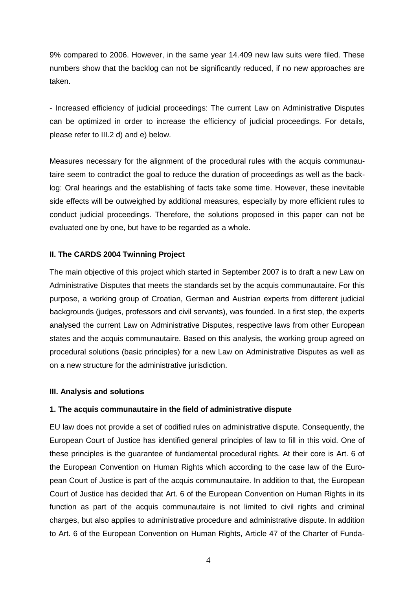9% compared to 2006. However, in the same year 14.409 new law suits were filed. These numbers show that the backlog can not be significantly reduced, if no new approaches are taken.

- Increased efficiency of judicial proceedings: The current Law on Administrative Disputes can be optimized in order to increase the efficiency of judicial proceedings. For details, please refer to III.2 d) and e) below.

Measures necessary for the alignment of the procedural rules with the acquis communautaire seem to contradict the goal to reduce the duration of proceedings as well as the backlog: Oral hearings and the establishing of facts take some time. However, these inevitable side effects will be outweighed by additional measures, especially by more efficient rules to conduct judicial proceedings. Therefore, the solutions proposed in this paper can not be evaluated one by one, but have to be regarded as a whole.

## **II. The CARDS 2004 Twinning Project**

The main objective of this project which started in September 2007 is to draft a new Law on Administrative Disputes that meets the standards set by the acquis communautaire. For this purpose, a working group of Croatian, German and Austrian experts from different judicial backgrounds (judges, professors and civil servants), was founded. In a first step, the experts analysed the current Law on Administrative Disputes, respective laws from other European states and the acquis communautaire. Based on this analysis, the working group agreed on procedural solutions (basic principles) for a new Law on Administrative Disputes as well as on a new structure for the administrative jurisdiction.

## **III. Analysis and solutions**

## **1. The acquis communautaire in the field of administrative dispute**

EU law does not provide a set of codified rules on administrative dispute. Consequently, the European Court of Justice has identified general principles of law to fill in this void. One of these principles is the guarantee of fundamental procedural rights. At their core is Art. 6 of the European Convention on Human Rights which according to the case law of the European Court of Justice is part of the acquis communautaire. In addition to that, the European Court of Justice has decided that Art. 6 of the European Convention on Human Rights in its function as part of the acquis communautaire is not limited to civil rights and criminal charges, but also applies to administrative procedure and administrative dispute. In addition to Art. 6 of the European Convention on Human Rights, Article 47 of the Charter of Funda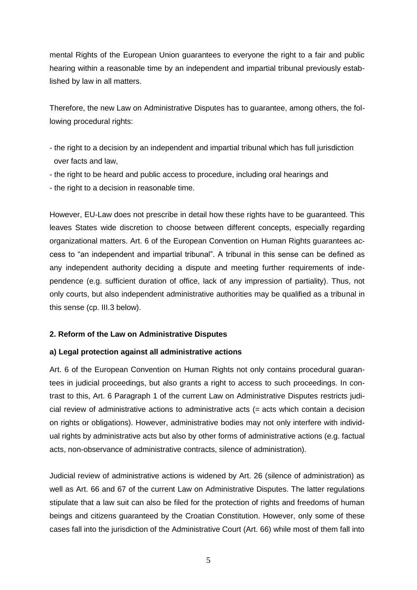mental Rights of the European Union guarantees to everyone the right to a fair and public hearing within a reasonable time by an independent and impartial tribunal previously established by law in all matters.

Therefore, the new Law on Administrative Disputes has to guarantee, among others, the following procedural rights:

- the right to a decision by an independent and impartial tribunal which has full jurisdiction over facts and law,
- the right to be heard and public access to procedure, including oral hearings and
- the right to a decision in reasonable time.

However, EU-Law does not prescribe in detail how these rights have to be guaranteed. This leaves States wide discretion to choose between different concepts, especially regarding organizational matters. Art. 6 of the European Convention on Human Rights guarantees access to "an independent and impartial tribunal". A tribunal in this sense can be defined as any independent authority deciding a dispute and meeting further requirements of independence (e.g. sufficient duration of office, lack of any impression of partiality). Thus, not only courts, but also independent administrative authorities may be qualified as a tribunal in this sense (cp. III.3 below).

#### **2. Reform of the Law on Administrative Disputes**

#### **a) Legal protection against all administrative actions**

Art. 6 of the European Convention on Human Rights not only contains procedural guarantees in judicial proceedings, but also grants a right to access to such proceedings. In contrast to this, Art. 6 Paragraph 1 of the current Law on Administrative Disputes restricts judicial review of administrative actions to administrative acts (= acts which contain a decision on rights or obligations). However, administrative bodies may not only interfere with individual rights by administrative acts but also by other forms of administrative actions (e.g. factual acts, non-observance of administrative contracts, silence of administration).

Judicial review of administrative actions is widened by Art. 26 (silence of administration) as well as Art. 66 and 67 of the current Law on Administrative Disputes. The latter regulations stipulate that a law suit can also be filed for the protection of rights and freedoms of human beings and citizens guaranteed by the Croatian Constitution. However, only some of these cases fall into the jurisdiction of the Administrative Court (Art. 66) while most of them fall into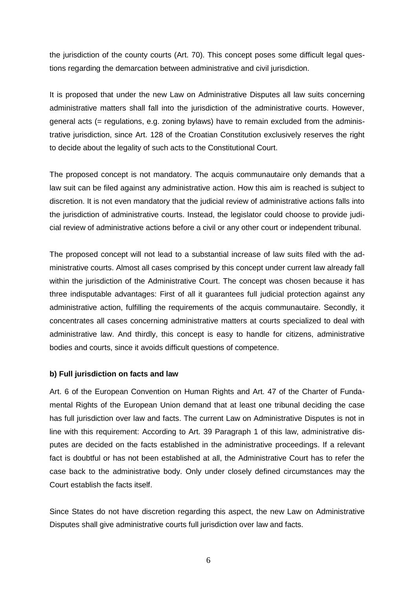the jurisdiction of the county courts (Art. 70). This concept poses some difficult legal questions regarding the demarcation between administrative and civil jurisdiction.

It is proposed that under the new Law on Administrative Disputes all law suits concerning administrative matters shall fall into the jurisdiction of the administrative courts. However, general acts (= regulations, e.g. zoning bylaws) have to remain excluded from the administrative jurisdiction, since Art. 128 of the Croatian Constitution exclusively reserves the right to decide about the legality of such acts to the Constitutional Court.

The proposed concept is not mandatory. The acquis communautaire only demands that a law suit can be filed against any administrative action. How this aim is reached is subject to discretion. It is not even mandatory that the judicial review of administrative actions falls into the jurisdiction of administrative courts. Instead, the legislator could choose to provide judicial review of administrative actions before a civil or any other court or independent tribunal.

The proposed concept will not lead to a substantial increase of law suits filed with the administrative courts. Almost all cases comprised by this concept under current law already fall within the iurisdiction of the Administrative Court. The concept was chosen because it has three indisputable advantages: First of all it guarantees full judicial protection against any administrative action, fulfilling the requirements of the acquis communautaire. Secondly, it concentrates all cases concerning administrative matters at courts specialized to deal with administrative law. And thirdly, this concept is easy to handle for citizens, administrative bodies and courts, since it avoids difficult questions of competence.

#### **b) Full jurisdiction on facts and law**

Art. 6 of the European Convention on Human Rights and Art. 47 of the Charter of Fundamental Rights of the European Union demand that at least one tribunal deciding the case has full jurisdiction over law and facts. The current Law on Administrative Disputes is not in line with this requirement: According to Art. 39 Paragraph 1 of this law, administrative disputes are decided on the facts established in the administrative proceedings. If a relevant fact is doubtful or has not been established at all, the Administrative Court has to refer the case back to the administrative body. Only under closely defined circumstances may the Court establish the facts itself.

Since States do not have discretion regarding this aspect, the new Law on Administrative Disputes shall give administrative courts full jurisdiction over law and facts.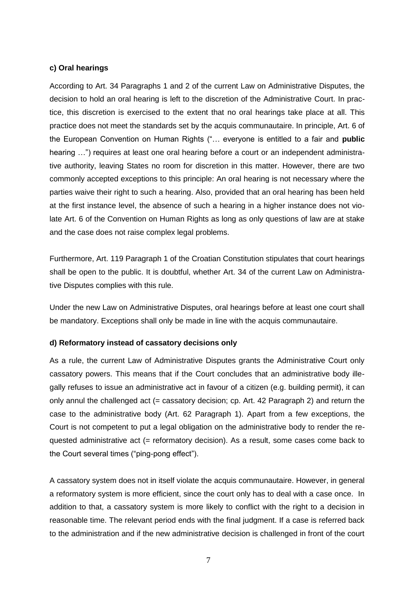### **c) Oral hearings**

According to Art. 34 Paragraphs 1 and 2 of the current Law on Administrative Disputes, the decision to hold an oral hearing is left to the discretion of the Administrative Court. In practice, this discretion is exercised to the extent that no oral hearings take place at all. This practice does not meet the standards set by the acquis communautaire. In principle, Art. 6 of the European Convention on Human Rights ("… everyone is entitled to a fair and **public** hearing ...") requires at least one oral hearing before a court or an independent administrative authority, leaving States no room for discretion in this matter. However, there are two commonly accepted exceptions to this principle: An oral hearing is not necessary where the parties waive their right to such a hearing. Also, provided that an oral hearing has been held at the first instance level, the absence of such a hearing in a higher instance does not violate Art. 6 of the Convention on Human Rights as long as only questions of law are at stake and the case does not raise complex legal problems.

Furthermore, Art. 119 Paragraph 1 of the Croatian Constitution stipulates that court hearings shall be open to the public. It is doubtful, whether Art. 34 of the current Law on Administrative Disputes complies with this rule.

Under the new Law on Administrative Disputes, oral hearings before at least one court shall be mandatory. Exceptions shall only be made in line with the acquis communautaire.

## **d) Reformatory instead of cassatory decisions only**

As a rule, the current Law of Administrative Disputes grants the Administrative Court only cassatory powers. This means that if the Court concludes that an administrative body illegally refuses to issue an administrative act in favour of a citizen (e.g. building permit), it can only annul the challenged act (= cassatory decision; cp. Art. 42 Paragraph 2) and return the case to the administrative body (Art. 62 Paragraph 1). Apart from a few exceptions, the Court is not competent to put a legal obligation on the administrative body to render the requested administrative act (= reformatory decision). As a result, some cases come back to the Court several times ("ping-pong effect").

A cassatory system does not in itself violate the acquis communautaire. However, in general a reformatory system is more efficient, since the court only has to deal with a case once. In addition to that, a cassatory system is more likely to conflict with the right to a decision in reasonable time. The relevant period ends with the final judgment. If a case is referred back to the administration and if the new administrative decision is challenged in front of the court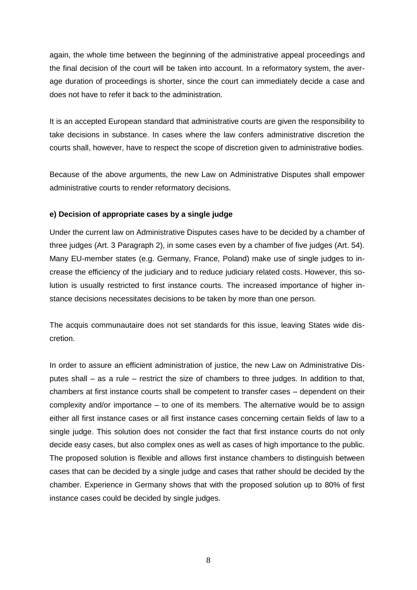again, the whole time between the beginning of the administrative appeal proceedings and the final decision of the court will be taken into account. In a reformatory system, the average duration of proceedings is shorter, since the court can immediately decide a case and does not have to refer it back to the administration.

It is an accepted European standard that administrative courts are given the responsibility to take decisions in substance. In cases where the law confers administrative discretion the courts shall, however, have to respect the scope of discretion given to administrative bodies.

Because of the above arguments, the new Law on Administrative Disputes shall empower administrative courts to render reformatory decisions.

#### **e) Decision of appropriate cases by a single judge**

Under the current law on Administrative Disputes cases have to be decided by a chamber of three judges (Art. 3 Paragraph 2), in some cases even by a chamber of five judges (Art. 54). Many EU-member states (e.g. Germany, France, Poland) make use of single judges to increase the efficiency of the judiciary and to reduce judiciary related costs. However, this solution is usually restricted to first instance courts. The increased importance of higher instance decisions necessitates decisions to be taken by more than one person.

The acquis communautaire does not set standards for this issue, leaving States wide discretion.

In order to assure an efficient administration of justice, the new Law on Administrative Disputes shall – as a rule – restrict the size of chambers to three judges. In addition to that, chambers at first instance courts shall be competent to transfer cases – dependent on their complexity and/or importance – to one of its members. The alternative would be to assign either all first instance cases or all first instance cases concerning certain fields of law to a single judge. This solution does not consider the fact that first instance courts do not only decide easy cases, but also complex ones as well as cases of high importance to the public. The proposed solution is flexible and allows first instance chambers to distinguish between cases that can be decided by a single judge and cases that rather should be decided by the chamber. Experience in Germany shows that with the proposed solution up to 80% of first instance cases could be decided by single judges.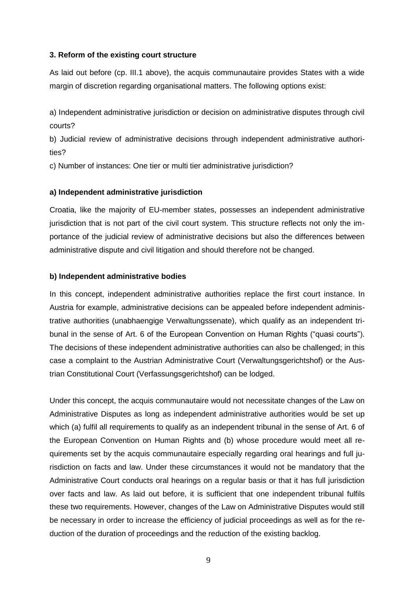#### **3. Reform of the existing court structure**

As laid out before (cp. III.1 above), the acquis communautaire provides States with a wide margin of discretion regarding organisational matters. The following options exist:

a) Independent administrative jurisdiction or decision on administrative disputes through civil courts?

b) Judicial review of administrative decisions through independent administrative authorities?

c) Number of instances: One tier or multi tier administrative jurisdiction?

#### **a) Independent administrative jurisdiction**

Croatia, like the majority of EU-member states, possesses an independent administrative jurisdiction that is not part of the civil court system. This structure reflects not only the importance of the judicial review of administrative decisions but also the differences between administrative dispute and civil litigation and should therefore not be changed.

#### **b) Independent administrative bodies**

In this concept, independent administrative authorities replace the first court instance. In Austria for example, administrative decisions can be appealed before independent administrative authorities (unabhaengige Verwaltungssenate), which qualify as an independent tribunal in the sense of Art. 6 of the European Convention on Human Rights ("quasi courts"). The decisions of these independent administrative authorities can also be challenged; in this case a complaint to the Austrian Administrative Court (Verwaltungsgerichtshof) or the Austrian Constitutional Court (Verfassungsgerichtshof) can be lodged.

Under this concept, the acquis communautaire would not necessitate changes of the Law on Administrative Disputes as long as independent administrative authorities would be set up which (a) fulfil all requirements to qualify as an independent tribunal in the sense of Art. 6 of the European Convention on Human Rights and (b) whose procedure would meet all requirements set by the acquis communautaire especially regarding oral hearings and full jurisdiction on facts and law. Under these circumstances it would not be mandatory that the Administrative Court conducts oral hearings on a regular basis or that it has full jurisdiction over facts and law. As laid out before, it is sufficient that one independent tribunal fulfils these two requirements. However, changes of the Law on Administrative Disputes would still be necessary in order to increase the efficiency of judicial proceedings as well as for the reduction of the duration of proceedings and the reduction of the existing backlog.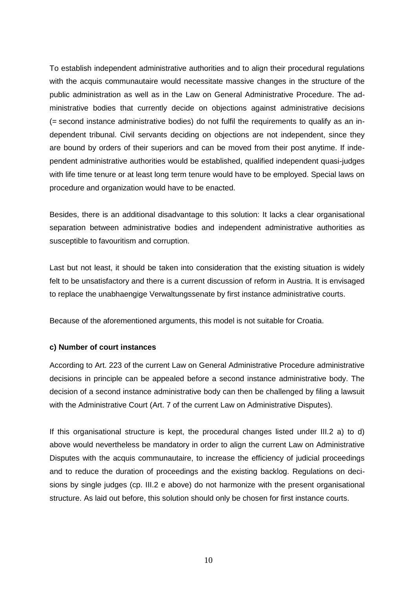To establish independent administrative authorities and to align their procedural regulations with the acquis communautaire would necessitate massive changes in the structure of the public administration as well as in the Law on General Administrative Procedure. The administrative bodies that currently decide on objections against administrative decisions (= second instance administrative bodies) do not fulfil the requirements to qualify as an independent tribunal. Civil servants deciding on objections are not independent, since they are bound by orders of their superiors and can be moved from their post anytime. If independent administrative authorities would be established, qualified independent quasi-judges with life time tenure or at least long term tenure would have to be employed. Special laws on procedure and organization would have to be enacted.

Besides, there is an additional disadvantage to this solution: It lacks a clear organisational separation between administrative bodies and independent administrative authorities as susceptible to favouritism and corruption.

Last but not least, it should be taken into consideration that the existing situation is widely felt to be unsatisfactory and there is a current discussion of reform in Austria. It is envisaged to replace the unabhaengige Verwaltungssenate by first instance administrative courts.

Because of the aforementioned arguments, this model is not suitable for Croatia.

#### **c) Number of court instances**

According to Art. 223 of the current Law on General Administrative Procedure administrative decisions in principle can be appealed before a second instance administrative body. The decision of a second instance administrative body can then be challenged by filing a lawsuit with the Administrative Court (Art. 7 of the current Law on Administrative Disputes).

If this organisational structure is kept, the procedural changes listed under III.2 a) to d) above would nevertheless be mandatory in order to align the current Law on Administrative Disputes with the acquis communautaire, to increase the efficiency of judicial proceedings and to reduce the duration of proceedings and the existing backlog. Regulations on decisions by single judges (cp. III.2 e above) do not harmonize with the present organisational structure. As laid out before, this solution should only be chosen for first instance courts.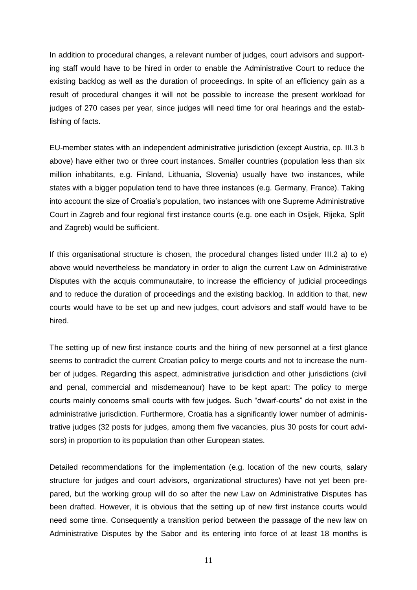In addition to procedural changes, a relevant number of judges, court advisors and supporting staff would have to be hired in order to enable the Administrative Court to reduce the existing backlog as well as the duration of proceedings. In spite of an efficiency gain as a result of procedural changes it will not be possible to increase the present workload for judges of 270 cases per year, since judges will need time for oral hearings and the establishing of facts.

EU-member states with an independent administrative jurisdiction (except Austria, cp. III.3 b above) have either two or three court instances. Smaller countries (population less than six million inhabitants, e.g. Finland, Lithuania, Slovenia) usually have two instances, while states with a bigger population tend to have three instances (e.g. Germany, France). Taking into account the size of Croatia's population, two instances with one Supreme Administrative Court in Zagreb and four regional first instance courts (e.g. one each in Osijek, Rijeka, Split and Zagreb) would be sufficient.

If this organisational structure is chosen, the procedural changes listed under III.2 a) to e) above would nevertheless be mandatory in order to align the current Law on Administrative Disputes with the acquis communautaire, to increase the efficiency of judicial proceedings and to reduce the duration of proceedings and the existing backlog. In addition to that, new courts would have to be set up and new judges, court advisors and staff would have to be hired.

The setting up of new first instance courts and the hiring of new personnel at a first glance seems to contradict the current Croatian policy to merge courts and not to increase the number of judges. Regarding this aspect, administrative jurisdiction and other jurisdictions (civil and penal, commercial and misdemeanour) have to be kept apart: The policy to merge courts mainly concerns small courts with few judges. Such "dwarf-courts" do not exist in the administrative jurisdiction. Furthermore, Croatia has a significantly lower number of administrative judges (32 posts for judges, among them five vacancies, plus 30 posts for court advisors) in proportion to its population than other European states.

Detailed recommendations for the implementation (e.g. location of the new courts, salary structure for judges and court advisors, organizational structures) have not yet been prepared, but the working group will do so after the new Law on Administrative Disputes has been drafted. However, it is obvious that the setting up of new first instance courts would need some time. Consequently a transition period between the passage of the new law on Administrative Disputes by the Sabor and its entering into force of at least 18 months is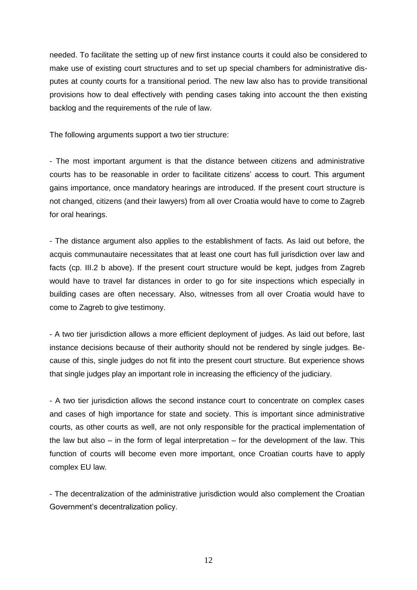needed. To facilitate the setting up of new first instance courts it could also be considered to make use of existing court structures and to set up special chambers for administrative disputes at county courts for a transitional period. The new law also has to provide transitional provisions how to deal effectively with pending cases taking into account the then existing backlog and the requirements of the rule of law.

The following arguments support a two tier structure:

- The most important argument is that the distance between citizens and administrative courts has to be reasonable in order to facilitate citizens' access to court. This argument gains importance, once mandatory hearings are introduced. If the present court structure is not changed, citizens (and their lawyers) from all over Croatia would have to come to Zagreb for oral hearings.

- The distance argument also applies to the establishment of facts. As laid out before, the acquis communautaire necessitates that at least one court has full jurisdiction over law and facts (cp. III.2 b above). If the present court structure would be kept, judges from Zagreb would have to travel far distances in order to go for site inspections which especially in building cases are often necessary. Also, witnesses from all over Croatia would have to come to Zagreb to give testimony.

- A two tier jurisdiction allows a more efficient deployment of judges. As laid out before, last instance decisions because of their authority should not be rendered by single judges. Because of this, single judges do not fit into the present court structure. But experience shows that single judges play an important role in increasing the efficiency of the judiciary.

- A two tier jurisdiction allows the second instance court to concentrate on complex cases and cases of high importance for state and society. This is important since administrative courts, as other courts as well, are not only responsible for the practical implementation of the law but also – in the form of legal interpretation – for the development of the law. This function of courts will become even more important, once Croatian courts have to apply complex EU law.

- The decentralization of the administrative jurisdiction would also complement the Croatian Government's decentralization policy.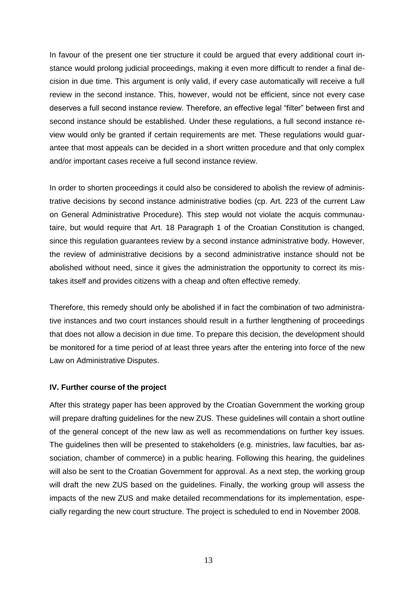In favour of the present one tier structure it could be argued that every additional court instance would prolong judicial proceedings, making it even more difficult to render a final decision in due time. This argument is only valid, if every case automatically will receive a full review in the second instance. This, however, would not be efficient, since not every case deserves a full second instance review. Therefore, an effective legal "filter" between first and second instance should be established. Under these regulations, a full second instance review would only be granted if certain requirements are met. These regulations would guarantee that most appeals can be decided in a short written procedure and that only complex and/or important cases receive a full second instance review.

In order to shorten proceedings it could also be considered to abolish the review of administrative decisions by second instance administrative bodies (cp. Art. 223 of the current Law on General Administrative Procedure). This step would not violate the acquis communautaire, but would require that Art. 18 Paragraph 1 of the Croatian Constitution is changed, since this regulation guarantees review by a second instance administrative body. However, the review of administrative decisions by a second administrative instance should not be abolished without need, since it gives the administration the opportunity to correct its mistakes itself and provides citizens with a cheap and often effective remedy.

Therefore, this remedy should only be abolished if in fact the combination of two administrative instances and two court instances should result in a further lengthening of proceedings that does not allow a decision in due time. To prepare this decision, the development should be monitored for a time period of at least three years after the entering into force of the new Law on Administrative Disputes.

#### **IV. Further course of the project**

After this strategy paper has been approved by the Croatian Government the working group will prepare drafting guidelines for the new ZUS. These guidelines will contain a short outline of the general concept of the new law as well as recommendations on further key issues. The guidelines then will be presented to stakeholders (e.g. ministries, law faculties, bar association, chamber of commerce) in a public hearing. Following this hearing, the guidelines will also be sent to the Croatian Government for approval. As a next step, the working group will draft the new ZUS based on the guidelines. Finally, the working group will assess the impacts of the new ZUS and make detailed recommendations for its implementation, especially regarding the new court structure. The project is scheduled to end in November 2008.